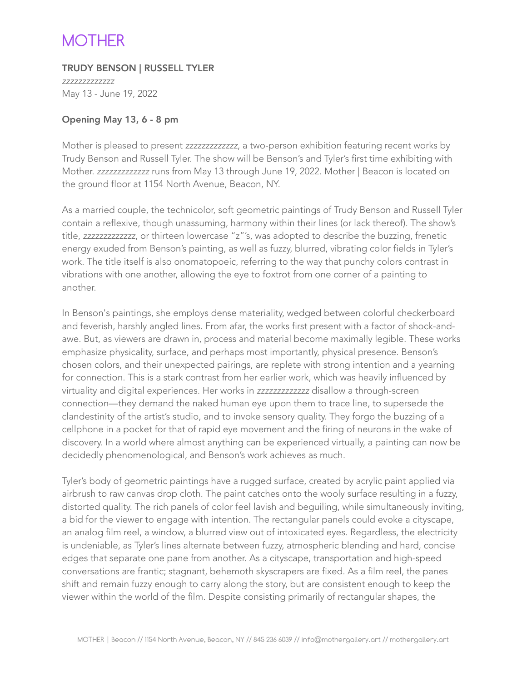## **MOTHER**

TRUDY BENSON | RUSSELL TYLER

*zzzzzzzzzzzzz*  May 13 - June 19, 2022

## Opening May 13, 6 - 8 pm

Mother is pleased to present *zzzzzzzzzzzzz*, a two-person exhibition featuring recent works by Trudy Benson and Russell Tyler. The show will be Benson's and Tyler's first time exhibiting with Mother. *zzzzzzzzzzzzz* runs from May 13 through June 19, 2022. Mother | Beacon is located on the ground floor at 1154 North Avenue, Beacon, NY.

As a married couple, the technicolor, soft geometric paintings of Trudy Benson and Russell Tyler contain a reflexive, though unassuming, harmony within their lines (or lack thereof). The show's title, *zzzzzzzzzzzzz*, or thirteen lowercase "z"'s, was adopted to describe the buzzing, frenetic energy exuded from Benson's painting, as well as fuzzy, blurred, vibrating color fields in Tyler's work. The title itself is also onomatopoeic, referring to the way that punchy colors contrast in vibrations with one another, allowing the eye to foxtrot from one corner of a painting to another.

In Benson's paintings, she employs dense materiality, wedged between colorful checkerboard and feverish, harshly angled lines. From afar, the works first present with a factor of shock-andawe. But, as viewers are drawn in, process and material become maximally legible. These works emphasize physicality, surface, and perhaps most importantly, physical presence. Benson's chosen colors, and their unexpected pairings, are replete with strong intention and a yearning for connection. This is a stark contrast from her earlier work, which was heavily influenced by virtuality and digital experiences. Her works in *zzzzzzzzzzzzz* disallow a through-screen connection—they demand the naked human eye upon them to trace line, to supersede the clandestinity of the artist's studio, and to invoke sensory quality. They forgo the buzzing of a cellphone in a pocket for that of rapid eye movement and the firing of neurons in the wake of discovery. In a world where almost anything can be experienced virtually, a painting can now be decidedly phenomenological, and Benson's work achieves as much.

Tyler's body of geometric paintings have a rugged surface, created by acrylic paint applied via airbrush to raw canvas drop cloth. The paint catches onto the wooly surface resulting in a fuzzy, distorted quality. The rich panels of color feel lavish and beguiling, while simultaneously inviting, a bid for the viewer to engage with intention. The rectangular panels could evoke a cityscape, an analog film reel, a window, a blurred view out of intoxicated eyes. Regardless, the electricity is undeniable, as Tyler's lines alternate between fuzzy, atmospheric blending and hard, concise edges that separate one pane from another. As a cityscape, transportation and high-speed conversations are frantic; stagnant, behemoth skyscrapers are fixed. As a film reel, the panes shift and remain fuzzy enough to carry along the story, but are consistent enough to keep the viewer within the world of the film. Despite consisting primarily of rectangular shapes, the